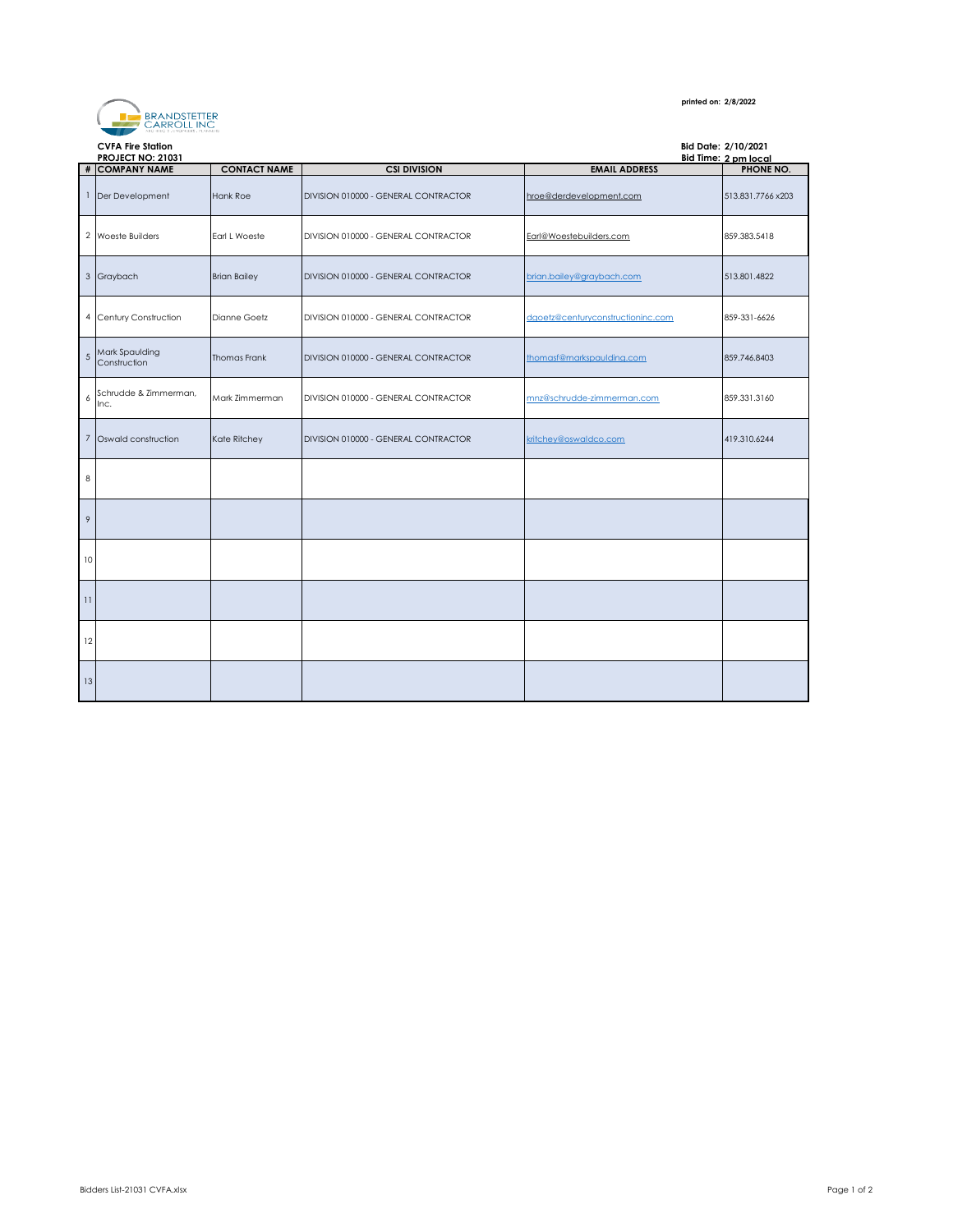

## **printed on: 2/8/2022**

|                  | <b>CVFA Fire Station</b><br>Bid Date: 2/10/2021 |                     |                                      |                                   |                      |
|------------------|-------------------------------------------------|---------------------|--------------------------------------|-----------------------------------|----------------------|
|                  | <b>PROJECT NO: 21031</b>                        |                     |                                      |                                   | Bid Time: 2 pm local |
|                  | # COMPANY NAME                                  | <b>CONTACT NAME</b> | <b>CSI DIVISION</b>                  | <b>EMAIL ADDRESS</b>              | PHONE NO.            |
|                  | 1 Der Development                               | <b>Hank Roe</b>     | DIVISION 010000 - GENERAL CONTRACTOR | hroe@derdevelopment.com           | 513.831.7766 x203    |
|                  | 2 Woeste Builders                               | Earl L Woeste       | DIVISION 010000 - GENERAL CONTRACTOR | Earl@Woestebuilders.com           | 859.383.5418         |
|                  | 3 Graybach                                      | <b>Brian Bailey</b> | DIVISION 010000 - GENERAL CONTRACTOR | brian.bailey@graybach.com         | 513.801.4822         |
|                  | 4 Century Construction                          | Dianne Goetz        | DIVISION 010000 - GENERAL CONTRACTOR | dgoetz@centuryconstructioninc.com | 859-331-6626         |
| 5                | Mark Spaulding<br>Construction                  | <b>Thomas Frank</b> | DIVISION 010000 - GENERAL CONTRACTOR | thomasf@markspaulding.com         | 859.746.8403         |
| $\boldsymbol{6}$ | Schrudde & Zimmerman,<br>Inc.                   | Mark Zimmerman      | DIVISION 010000 - GENERAL CONTRACTOR | mnz@schrudde-zimmerman.com        | 859.331.3160         |
| $\overline{7}$   | Oswald construction                             | Kate Ritchey        | DIVISION 010000 - GENERAL CONTRACTOR | kritchey@oswaldco.com             | 419.310.6244         |
| 8                |                                                 |                     |                                      |                                   |                      |
| $\mathcal{P}$    |                                                 |                     |                                      |                                   |                      |
| 10               |                                                 |                     |                                      |                                   |                      |
| 11               |                                                 |                     |                                      |                                   |                      |
| 12               |                                                 |                     |                                      |                                   |                      |
| 13               |                                                 |                     |                                      |                                   |                      |